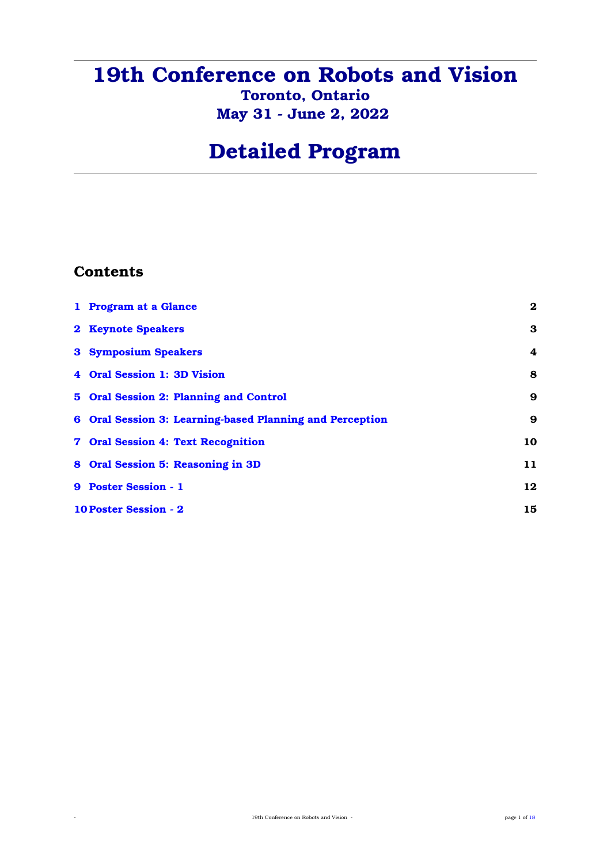## **19th Conference on Robots and Vision Toronto, Ontario May 31 - June 2, 2022**

# **Detailed Program**

## **Contents**

| 1 Program at a Glance                                    | $\bf{2}$ |  |  |  |
|----------------------------------------------------------|----------|--|--|--|
| 2 Keynote Speakers                                       | 3        |  |  |  |
| <b>3 Symposium Speakers</b>                              | 4        |  |  |  |
| 4 Oral Session 1: 3D Vision                              | 8        |  |  |  |
| 5 Oral Session 2: Planning and Control                   | 9        |  |  |  |
| 6 Oral Session 3: Learning-based Planning and Perception | 9        |  |  |  |
| 7 Oral Session 4: Text Recognition                       | 10       |  |  |  |
| 8 Oral Session 5: Reasoning in 3D                        | 11       |  |  |  |
| 9 Poster Session - 1                                     | 12       |  |  |  |
| <b>10 Poster Session - 2</b>                             |          |  |  |  |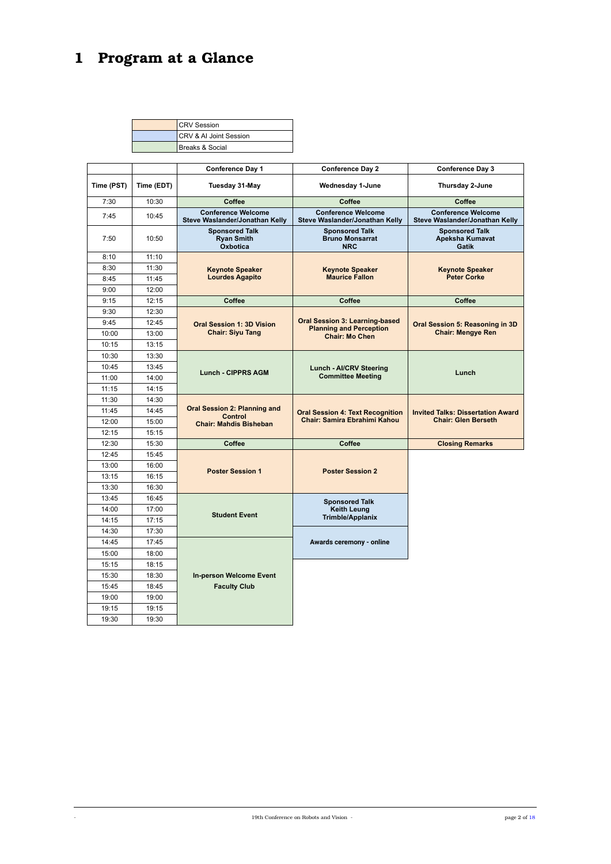# <span id="page-1-0"></span>**1 Program at a Glance**

| <b>CRV</b> Session                 |
|------------------------------------|
| <b>ICRV &amp; AI Joint Session</b> |
| Breaks & Social                    |

|            |                                              | Conference Day 1                                            | <b>Conference Day 2</b>                                                                          | <b>Conference Day 3</b>                                     |
|------------|----------------------------------------------|-------------------------------------------------------------|--------------------------------------------------------------------------------------------------|-------------------------------------------------------------|
| Time (PST) | Time (EDT)                                   | Tuesday 31-May                                              | Wednesday 1-June                                                                                 | Thursday 2-June                                             |
| 7:30       | 10:30                                        | Coffee                                                      | Coffee                                                                                           | Coffee                                                      |
| 7:45       | 10:45                                        | <b>Conference Welcome</b><br>Steve Waslander/Jonathan Kelly | <b>Conference Welcome</b><br>Steve Waslander/Jonathan Kelly                                      | <b>Conference Welcome</b><br>Steve Waslander/Jonathan Kelly |
| 7:50       | 10:50                                        | <b>Sponsored Talk</b><br><b>Ryan Smith</b><br>Oxbotica      | <b>Sponsored Talk</b><br><b>Bruno Monsarrat</b><br><b>NRC</b>                                    | <b>Sponsored Talk</b><br><b>Apeksha Kumavat</b><br>Gatik    |
| 8:10       | 11:10                                        |                                                             |                                                                                                  |                                                             |
| 8:30       | 11:30                                        | <b>Keynote Speaker</b>                                      | <b>Keynote Speaker</b>                                                                           | <b>Keynote Speaker</b>                                      |
| 8:45       | 11:45                                        | <b>Lourdes Agapito</b>                                      | <b>Maurice Fallon</b>                                                                            | <b>Peter Corke</b>                                          |
| 9:00       | 12:00                                        |                                                             |                                                                                                  |                                                             |
| 9:15       | 12:15                                        | Coffee                                                      | <b>Coffee</b>                                                                                    | Coffee                                                      |
| 9:30       | 12:30                                        |                                                             | <b>Oral Session 3: Learning-based</b><br><b>Planning and Perception</b><br><b>Chair: Mo Chen</b> | Oral Session 5: Reasoning in 3D<br><b>Chair: Mengye Ren</b> |
| 9:45       | 12:45                                        | <b>Oral Session 1: 3D Vision</b>                            |                                                                                                  |                                                             |
| 10:00      | 13:00                                        | <b>Chair: Siyu Tang</b>                                     |                                                                                                  |                                                             |
| 10:15      | 13:15                                        |                                                             |                                                                                                  |                                                             |
| 10:30      | 13:30                                        |                                                             |                                                                                                  |                                                             |
| 10:45      | 13:45                                        |                                                             | <b>Lunch - AI/CRV Steering</b>                                                                   |                                                             |
| 11:00      | <b>Lunch - CIPPRS AGM</b><br>14:00           |                                                             | <b>Committee Meeting</b>                                                                         | Lunch                                                       |
| 11:15      | 14:15                                        |                                                             |                                                                                                  |                                                             |
| 11:30      | 14:30                                        |                                                             |                                                                                                  |                                                             |
| 11:45      | <b>Oral Session 2: Planning and</b><br>14:45 | Control                                                     | <b>Oral Session 4: Text Recognition</b>                                                          | <b>Invited Talks: Dissertation Award</b>                    |
| 12:00      | 15:00                                        | <b>Chair: Mahdis Bisheban</b>                               | Chair: Samira Ebrahimi Kahou                                                                     | <b>Chair: Glen Berseth</b>                                  |
| 12:15      | 15:15                                        |                                                             |                                                                                                  |                                                             |
| 12:30      | 15:30                                        | Coffee                                                      | Coffee                                                                                           | <b>Closing Remarks</b>                                      |
| 12:45      | 15:45                                        |                                                             |                                                                                                  |                                                             |
| 13:00      | 16:00                                        |                                                             | <b>Poster Session 2</b>                                                                          |                                                             |
| 13:15      | 16:15                                        | <b>Poster Session 1</b>                                     |                                                                                                  |                                                             |
| 13:30      | 16:30                                        |                                                             |                                                                                                  |                                                             |
| 13:45      | 16:45                                        | <b>Student Event</b>                                        | <b>Sponsored Talk</b>                                                                            |                                                             |
| 14:00      | 17:00                                        |                                                             | Keith Leung                                                                                      |                                                             |
| 14:15      | 17:15                                        |                                                             | <b>Trimble/Applanix</b>                                                                          |                                                             |
| 14:30      | 17:30                                        |                                                             |                                                                                                  |                                                             |
| 14:45      | 17:45                                        |                                                             | Awards ceremony - online                                                                         |                                                             |
| 15:00      | 18:00                                        |                                                             |                                                                                                  |                                                             |
| 15:15      | 18:15                                        |                                                             |                                                                                                  |                                                             |
| 15:30      | 18:30                                        | <b>In-person Welcome Event</b>                              |                                                                                                  |                                                             |
| 15:45      | 18:45                                        | <b>Faculty Club</b>                                         |                                                                                                  |                                                             |
| 19:00      | 19:00                                        |                                                             |                                                                                                  |                                                             |
| 19:15      | 19:15                                        |                                                             |                                                                                                  |                                                             |
| 19:30      | 19:30                                        |                                                             |                                                                                                  |                                                             |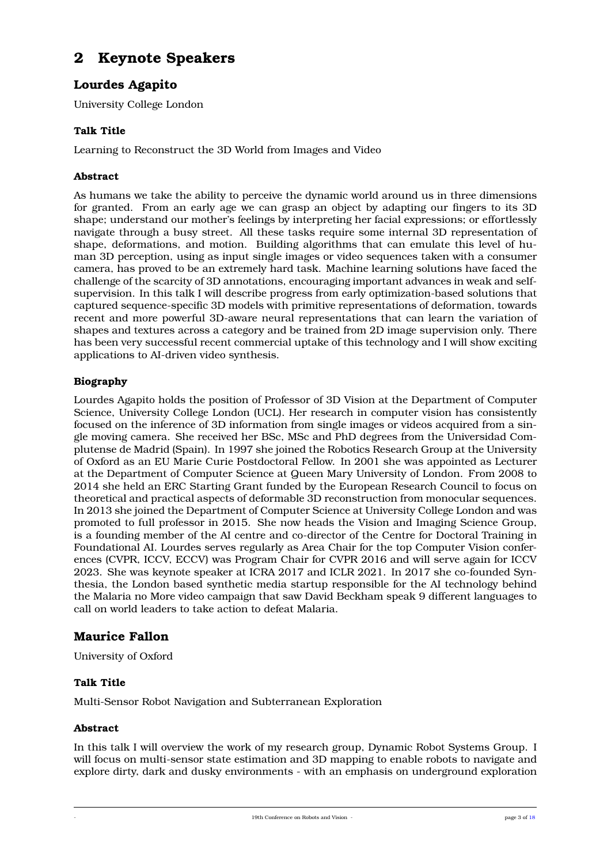## <span id="page-2-0"></span>**2 Keynote Speakers**

## **Lourdes Agapito**

University College London

#### **Talk Title**

Learning to Reconstruct the 3D World from Images and Video

#### **Abstract**

As humans we take the ability to perceive the dynamic world around us in three dimensions for granted. From an early age we can grasp an object by adapting our fingers to its 3D shape; understand our mother's feelings by interpreting her facial expressions; or effortlessly navigate through a busy street. All these tasks require some internal 3D representation of shape, deformations, and motion. Building algorithms that can emulate this level of human 3D perception, using as input single images or video sequences taken with a consumer camera, has proved to be an extremely hard task. Machine learning solutions have faced the challenge of the scarcity of 3D annotations, encouraging important advances in weak and selfsupervision. In this talk I will describe progress from early optimization-based solutions that captured sequence-specific 3D models with primitive representations of deformation, towards recent and more powerful 3D-aware neural representations that can learn the variation of shapes and textures across a category and be trained from 2D image supervision only. There has been very successful recent commercial uptake of this technology and I will show exciting applications to AI-driven video synthesis.

#### **Biography**

Lourdes Agapito holds the position of Professor of 3D Vision at the Department of Computer Science, University College London (UCL). Her research in computer vision has consistently focused on the inference of 3D information from single images or videos acquired from a single moving camera. She received her BSc, MSc and PhD degrees from the Universidad Complutense de Madrid (Spain). In 1997 she joined the Robotics Research Group at the University of Oxford as an EU Marie Curie Postdoctoral Fellow. In 2001 she was appointed as Lecturer at the Department of Computer Science at Queen Mary University of London. From 2008 to 2014 she held an ERC Starting Grant funded by the European Research Council to focus on theoretical and practical aspects of deformable 3D reconstruction from monocular sequences. In 2013 she joined the Department of Computer Science at University College London and was promoted to full professor in 2015. She now heads the Vision and Imaging Science Group, is a founding member of the AI centre and co-director of the Centre for Doctoral Training in Foundational AI. Lourdes serves regularly as Area Chair for the top Computer Vision conferences (CVPR, ICCV, ECCV) was Program Chair for CVPR 2016 and will serve again for ICCV 2023. She was keynote speaker at ICRA 2017 and ICLR 2021. In 2017 she co-founded Synthesia, the London based synthetic media startup responsible for the AI technology behind the Malaria no More video campaign that saw David Beckham speak 9 different languages to call on world leaders to take action to defeat Malaria.

### **Maurice Fallon**

University of Oxford

#### **Talk Title**

Multi-Sensor Robot Navigation and Subterranean Exploration

#### **Abstract**

In this talk I will overview the work of my research group, Dynamic Robot Systems Group. I will focus on multi-sensor state estimation and 3D mapping to enable robots to navigate and explore dirty, dark and dusky environments - with an emphasis on underground exploration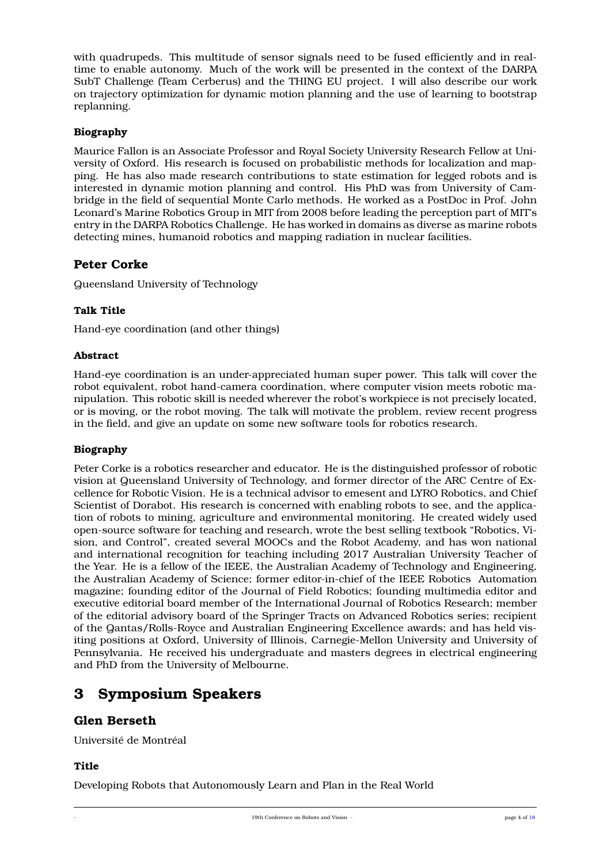with quadrupeds. This multitude of sensor signals need to be fused efficiently and in realtime to enable autonomy. Much of the work will be presented in the context of the DARPA SubT Challenge (Team Cerberus) and the THING EU project. I will also describe our work on trajectory optimization for dynamic motion planning and the use of learning to bootstrap replanning.

#### **Biography**

Maurice Fallon is an Associate Professor and Royal Society University Research Fellow at University of Oxford. His research is focused on probabilistic methods for localization and mapping. He has also made research contributions to state estimation for legged robots and is interested in dynamic motion planning and control. His PhD was from University of Cambridge in the field of sequential Monte Carlo methods. He worked as a PostDoc in Prof. John Leonard's Marine Robotics Group in MIT from 2008 before leading the perception part of MIT's entry in the DARPA Robotics Challenge. He has worked in domains as diverse as marine robots detecting mines, humanoid robotics and mapping radiation in nuclear facilities.

### **Peter Corke**

Queensland University of Technology

#### **Talk Title**

Hand-eye coordination (and other things)

#### **Abstract**

Hand-eye coordination is an under-appreciated human super power. This talk will cover the robot equivalent, robot hand-camera coordination, where computer vision meets robotic manipulation. This robotic skill is needed wherever the robot's workpiece is not precisely located, or is moving, or the robot moving. The talk will motivate the problem, review recent progress in the field, and give an update on some new software tools for robotics research.

#### **Biography**

Peter Corke is a robotics researcher and educator. He is the distinguished professor of robotic vision at Queensland University of Technology, and former director of the ARC Centre of Excellence for Robotic Vision. He is a technical advisor to emesent and LYRO Robotics, and Chief Scientist of Dorabot. His research is concerned with enabling robots to see, and the application of robots to mining, agriculture and environmental monitoring. He created widely used open-source software for teaching and research, wrote the best selling textbook "Robotics, Vision, and Control", created several MOOCs and the Robot Academy, and has won national and international recognition for teaching including 2017 Australian University Teacher of the Year. He is a fellow of the IEEE, the Australian Academy of Technology and Engineering, the Australian Academy of Science; former editor-in-chief of the IEEE Robotics Automation magazine; founding editor of the Journal of Field Robotics; founding multimedia editor and executive editorial board member of the International Journal of Robotics Research; member of the editorial advisory board of the Springer Tracts on Advanced Robotics series; recipient of the Qantas/Rolls-Royce and Australian Engineering Excellence awards; and has held visiting positions at Oxford, University of Illinois, Carnegie-Mellon University and University of Pennsylvania. He received his undergraduate and masters degrees in electrical engineering and PhD from the University of Melbourne.

## <span id="page-3-0"></span>**3 Symposium Speakers**

#### **Glen Berseth**

Université de Montréal

#### **Title**

Developing Robots that Autonomously Learn and Plan in the Real World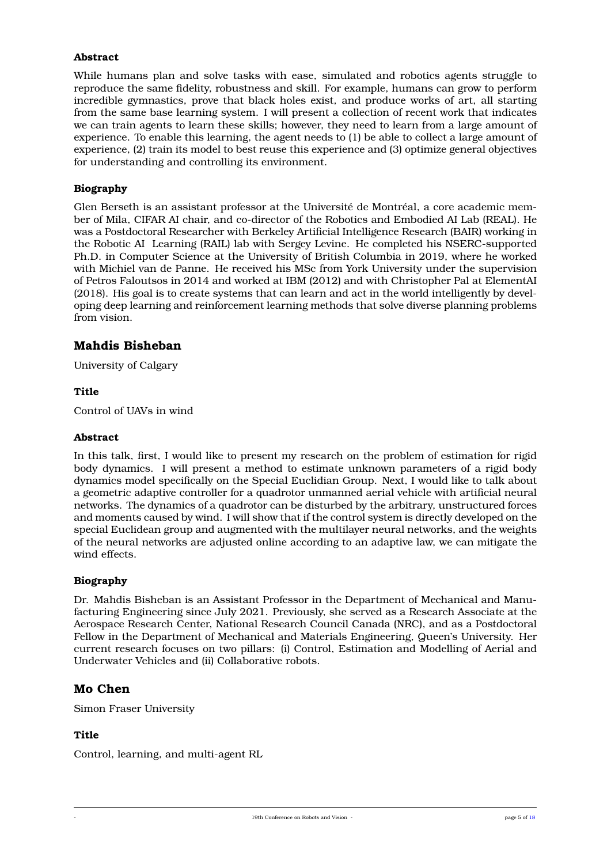#### **Abstract**

While humans plan and solve tasks with ease, simulated and robotics agents struggle to reproduce the same fidelity, robustness and skill. For example, humans can grow to perform incredible gymnastics, prove that black holes exist, and produce works of art, all starting from the same base learning system. I will present a collection of recent work that indicates we can train agents to learn these skills; however, they need to learn from a large amount of experience. To enable this learning, the agent needs to (1) be able to collect a large amount of experience, (2) train its model to best reuse this experience and (3) optimize general objectives for understanding and controlling its environment.

#### **Biography**

Glen Berseth is an assistant professor at the Université de Montréal, a core academic member of Mila, CIFAR AI chair, and co-director of the Robotics and Embodied AI Lab (REAL). He was a Postdoctoral Researcher with Berkeley Artificial Intelligence Research (BAIR) working in the Robotic AI Learning (RAIL) lab with Sergey Levine. He completed his NSERC-supported Ph.D. in Computer Science at the University of British Columbia in 2019, where he worked with Michiel van de Panne. He received his MSc from York University under the supervision of Petros Faloutsos in 2014 and worked at IBM (2012) and with Christopher Pal at ElementAI (2018). His goal is to create systems that can learn and act in the world intelligently by developing deep learning and reinforcement learning methods that solve diverse planning problems from vision.

#### **Mahdis Bisheban**

University of Calgary

#### **Title**

Control of UAVs in wind

#### **Abstract**

In this talk, first, I would like to present my research on the problem of estimation for rigid body dynamics. I will present a method to estimate unknown parameters of a rigid body dynamics model specifically on the Special Euclidian Group. Next, I would like to talk about a geometric adaptive controller for a quadrotor unmanned aerial vehicle with artificial neural networks. The dynamics of a quadrotor can be disturbed by the arbitrary, unstructured forces and moments caused by wind. I will show that if the control system is directly developed on the special Euclidean group and augmented with the multilayer neural networks, and the weights of the neural networks are adjusted online according to an adaptive law, we can mitigate the wind effects.

#### **Biography**

Dr. Mahdis Bisheban is an Assistant Professor in the Department of Mechanical and Manufacturing Engineering since July 2021. Previously, she served as a Research Associate at the Aerospace Research Center, National Research Council Canada (NRC), and as a Postdoctoral Fellow in the Department of Mechanical and Materials Engineering, Queen's University. Her current research focuses on two pillars: (i) Control, Estimation and Modelling of Aerial and Underwater Vehicles and (ii) Collaborative robots.

#### **Mo Chen**

Simon Fraser University

#### **Title**

Control, learning, and multi-agent RL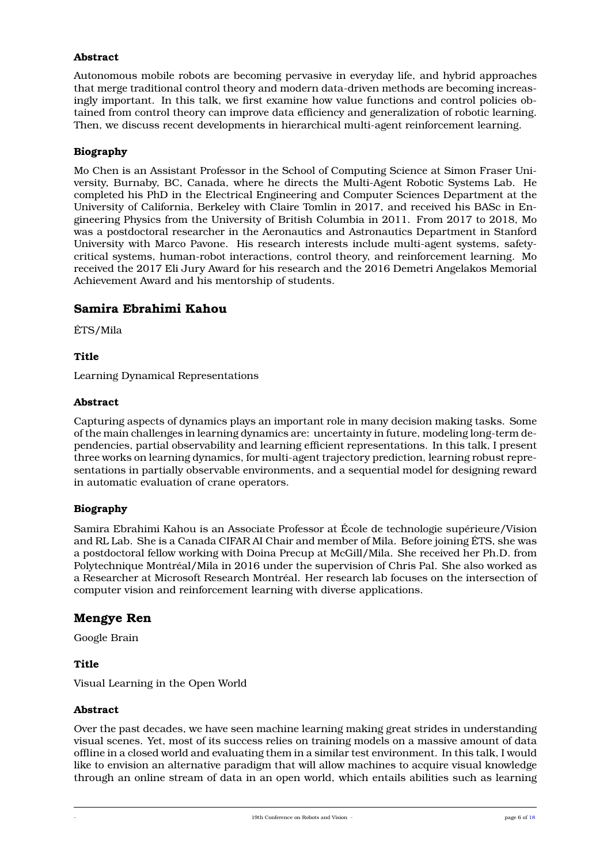#### **Abstract**

Autonomous mobile robots are becoming pervasive in everyday life, and hybrid approaches that merge traditional control theory and modern data-driven methods are becoming increasingly important. In this talk, we first examine how value functions and control policies obtained from control theory can improve data efficiency and generalization of robotic learning. Then, we discuss recent developments in hierarchical multi-agent reinforcement learning.

#### **Biography**

Mo Chen is an Assistant Professor in the School of Computing Science at Simon Fraser University, Burnaby, BC, Canada, where he directs the Multi-Agent Robotic Systems Lab. He completed his PhD in the Electrical Engineering and Computer Sciences Department at the University of California, Berkeley with Claire Tomlin in 2017, and received his BASc in Engineering Physics from the University of British Columbia in 2011. From 2017 to 2018, Mo was a postdoctoral researcher in the Aeronautics and Astronautics Department in Stanford University with Marco Pavone. His research interests include multi-agent systems, safetycritical systems, human-robot interactions, control theory, and reinforcement learning. Mo received the 2017 Eli Jury Award for his research and the 2016 Demetri Angelakos Memorial Achievement Award and his mentorship of students.

#### **Samira Ebrahimi Kahou**

ÉTS/Mila

#### **Title**

Learning Dynamical Representations

#### **Abstract**

Capturing aspects of dynamics plays an important role in many decision making tasks. Some of the main challenges in learning dynamics are: uncertainty in future, modeling long-term dependencies, partial observability and learning efficient representations. In this talk, I present three works on learning dynamics, for multi-agent trajectory prediction, learning robust representations in partially observable environments, and a sequential model for designing reward in automatic evaluation of crane operators.

#### **Biography**

Samira Ebrahimi Kahou is an Associate Professor at École de technologie supérieure/Vision and RL Lab. She is a Canada CIFAR AI Chair and member of Mila. Before joining ÉTS, she was a postdoctoral fellow working with Doina Precup at McGill/Mila. She received her Ph.D. from Polytechnique Montréal/Mila in 2016 under the supervision of Chris Pal. She also worked as a Researcher at Microsoft Research Montréal. Her research lab focuses on the intersection of computer vision and reinforcement learning with diverse applications.

#### **Mengye Ren**

Google Brain

#### **Title**

Visual Learning in the Open World

#### **Abstract**

Over the past decades, we have seen machine learning making great strides in understanding visual scenes. Yet, most of its success relies on training models on a massive amount of data offline in a closed world and evaluating them in a similar test environment. In this talk, I would like to envision an alternative paradigm that will allow machines to acquire visual knowledge through an online stream of data in an open world, which entails abilities such as learning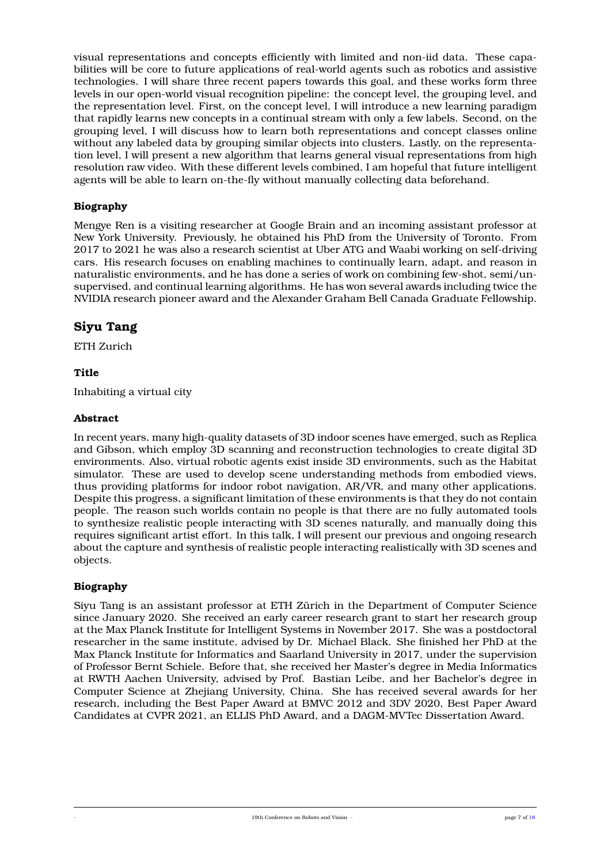visual representations and concepts efficiently with limited and non-iid data. These capabilities will be core to future applications of real-world agents such as robotics and assistive technologies. I will share three recent papers towards this goal, and these works form three levels in our open-world visual recognition pipeline: the concept level, the grouping level, and the representation level. First, on the concept level, I will introduce a new learning paradigm that rapidly learns new concepts in a continual stream with only a few labels. Second, on the grouping level, I will discuss how to learn both representations and concept classes online without any labeled data by grouping similar objects into clusters. Lastly, on the representation level, I will present a new algorithm that learns general visual representations from high resolution raw video. With these different levels combined, I am hopeful that future intelligent agents will be able to learn on-the-fly without manually collecting data beforehand.

#### **Biography**

Mengye Ren is a visiting researcher at Google Brain and an incoming assistant professor at New York University. Previously, he obtained his PhD from the University of Toronto. From 2017 to 2021 he was also a research scientist at Uber ATG and Waabi working on self-driving cars. His research focuses on enabling machines to continually learn, adapt, and reason in naturalistic environments, and he has done a series of work on combining few-shot, semi/unsupervised, and continual learning algorithms. He has won several awards including twice the NVIDIA research pioneer award and the Alexander Graham Bell Canada Graduate Fellowship.

### **Siyu Tang**

ETH Zurich

#### **Title**

Inhabiting a virtual city

#### **Abstract**

In recent years, many high-quality datasets of 3D indoor scenes have emerged, such as Replica and Gibson, which employ 3D scanning and reconstruction technologies to create digital 3D environments. Also, virtual robotic agents exist inside 3D environments, such as the Habitat simulator. These are used to develop scene understanding methods from embodied views, thus providing platforms for indoor robot navigation, AR/VR, and many other applications. Despite this progress, a significant limitation of these environments is that they do not contain people. The reason such worlds contain no people is that there are no fully automated tools to synthesize realistic people interacting with 3D scenes naturally, and manually doing this requires significant artist effort. In this talk, I will present our previous and ongoing research about the capture and synthesis of realistic people interacting realistically with 3D scenes and objects.

#### **Biography**

<span id="page-6-0"></span>Siyu Tang is an assistant professor at ETH Zürich in the Department of Computer Science since January 2020. She received an early career research grant to start her research group at the Max Planck Institute for Intelligent Systems in November 2017. She was a postdoctoral researcher in the same institute, advised by Dr. Michael Black. She finished her PhD at the Max Planck Institute for Informatics and Saarland University in 2017, under the supervision of Professor Bernt Schiele. Before that, she received her Master's degree in Media Informatics at RWTH Aachen University, advised by Prof. Bastian Leibe, and her Bachelor's degree in Computer Science at Zhejiang University, China. She has received several awards for her research, including the Best Paper Award at BMVC 2012 and 3DV 2020, Best Paper Award Candidates at CVPR 2021, an ELLIS PhD Award, and a DAGM-MVTec Dissertation Award.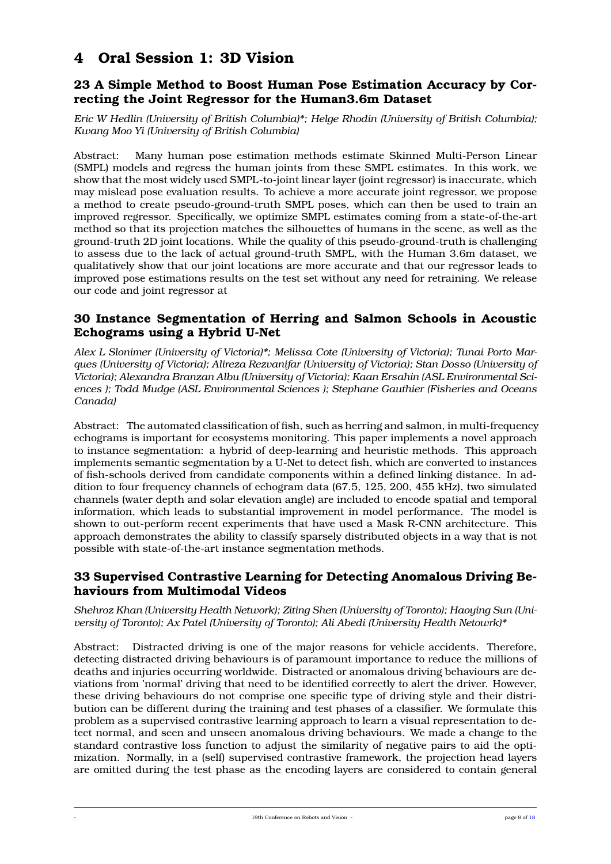## **4 Oral Session 1: 3D Vision**

### **23 A Simple Method to Boost Human Pose Estimation Accuracy by Correcting the Joint Regressor for the Human3.6m Dataset**

*Eric W Hedlin (University of British Columbia)\*; Helge Rhodin (University of British Columbia); Kwang Moo Yi (University of British Columbia)*

Abstract: Many human pose estimation methods estimate Skinned Multi-Person Linear (SMPL) models and regress the human joints from these SMPL estimates. In this work, we show that the most widely used SMPL-to-joint linear layer (joint regressor) is inaccurate, which may mislead pose evaluation results. To achieve a more accurate joint regressor, we propose a method to create pseudo-ground-truth SMPL poses, which can then be used to train an improved regressor. Specifically, we optimize SMPL estimates coming from a state-of-the-art method so that its projection matches the silhouettes of humans in the scene, as well as the ground-truth 2D joint locations. While the quality of this pseudo-ground-truth is challenging to assess due to the lack of actual ground-truth SMPL, with the Human 3.6m dataset, we qualitatively show that our joint locations are more accurate and that our regressor leads to improved pose estimations results on the test set without any need for retraining. We release our code and joint regressor at

## **30 Instance Segmentation of Herring and Salmon Schools in Acoustic Echograms using a Hybrid U-Net**

*Alex L Slonimer (University of Victoria)\*; Melissa Cote (University of Victoria); Tunai Porto Marques (University of Victoria); Alireza Rezvanifar (University of Victoria); Stan Dosso (University of Victoria); Alexandra Branzan Albu (University of Victoria); Kaan Ersahin (ASL Environmental Sciences ); Todd Mudge (ASL Environmental Sciences ); Stephane Gauthier (Fisheries and Oceans Canada)*

Abstract: The automated classification of fish, such as herring and salmon, in multi-frequency echograms is important for ecosystems monitoring. This paper implements a novel approach to instance segmentation: a hybrid of deep-learning and heuristic methods. This approach implements semantic segmentation by a U-Net to detect fish, which are converted to instances of fish-schools derived from candidate components within a defined linking distance. In addition to four frequency channels of echogram data (67.5, 125, 200, 455 kHz), two simulated channels (water depth and solar elevation angle) are included to encode spatial and temporal information, which leads to substantial improvement in model performance. The model is shown to out-perform recent experiments that have used a Mask R-CNN architecture. This approach demonstrates the ability to classify sparsely distributed objects in a way that is not possible with state-of-the-art instance segmentation methods.

#### **33 Supervised Contrastive Learning for Detecting Anomalous Driving Behaviours from Multimodal Videos**

*Shehroz Khan (University Health Network); Ziting Shen (University of Toronto); Haoying Sun (University of Toronto); Ax Patel (University of Toronto); Ali Abedi (University Health Netowrk)\**

Abstract: Distracted driving is one of the major reasons for vehicle accidents. Therefore, detecting distracted driving behaviours is of paramount importance to reduce the millions of deaths and injuries occurring worldwide. Distracted or anomalous driving behaviours are deviations from 'normal' driving that need to be identified correctly to alert the driver. However, these driving behaviours do not comprise one specific type of driving style and their distribution can be different during the training and test phases of a classifier. We formulate this problem as a supervised contrastive learning approach to learn a visual representation to detect normal, and seen and unseen anomalous driving behaviours. We made a change to the standard contrastive loss function to adjust the similarity of negative pairs to aid the optimization. Normally, in a (self) supervised contrastive framework, the projection head layers are omitted during the test phase as the encoding layers are considered to contain general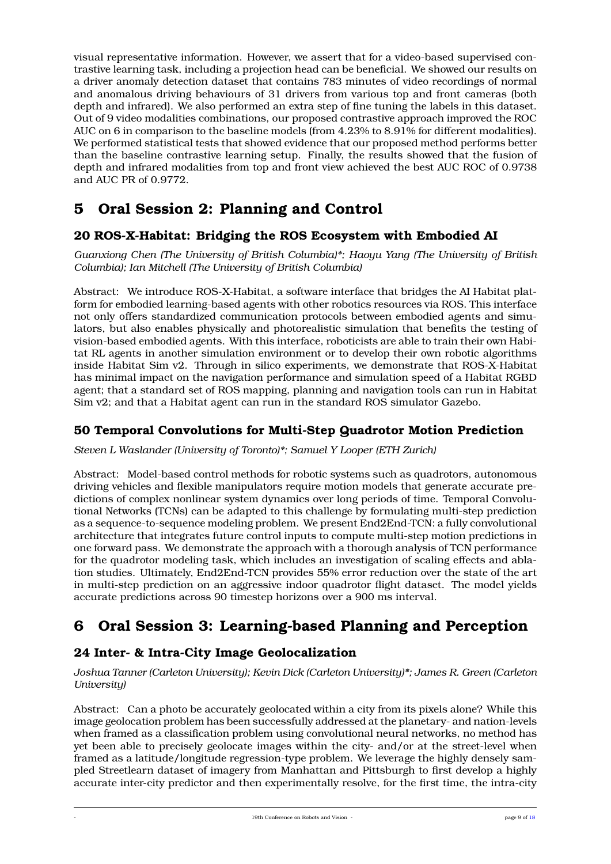visual representative information. However, we assert that for a video-based supervised contrastive learning task, including a projection head can be beneficial. We showed our results on a driver anomaly detection dataset that contains 783 minutes of video recordings of normal and anomalous driving behaviours of 31 drivers from various top and front cameras (both depth and infrared). We also performed an extra step of fine tuning the labels in this dataset. Out of 9 video modalities combinations, our proposed contrastive approach improved the ROC AUC on 6 in comparison to the baseline models (from 4.23% to 8.91% for different modalities). We performed statistical tests that showed evidence that our proposed method performs better than the baseline contrastive learning setup. Finally, the results showed that the fusion of depth and infrared modalities from top and front view achieved the best AUC ROC of 0.9738 and AUC PR of 0.9772.

## <span id="page-8-0"></span>**5 Oral Session 2: Planning and Control**

## **20 ROS-X-Habitat: Bridging the ROS Ecosystem with Embodied AI**

*Guanxiong Chen (The University of British Columbia)\*; Haoyu Yang (The University of British Columbia); Ian Mitchell (The University of British Columbia)*

Abstract: We introduce ROS-X-Habitat, a software interface that bridges the AI Habitat platform for embodied learning-based agents with other robotics resources via ROS. This interface not only offers standardized communication protocols between embodied agents and simulators, but also enables physically and photorealistic simulation that benefits the testing of vision-based embodied agents. With this interface, roboticists are able to train their own Habitat RL agents in another simulation environment or to develop their own robotic algorithms inside Habitat Sim v2. Through in silico experiments, we demonstrate that ROS-X-Habitat has minimal impact on the navigation performance and simulation speed of a Habitat RGBD agent; that a standard set of ROS mapping, planning and navigation tools can run in Habitat Sim v2; and that a Habitat agent can run in the standard ROS simulator Gazebo.

## **50 Temporal Convolutions for Multi-Step Quadrotor Motion Prediction**

*Steven L Waslander (University of Toronto)\*; Samuel Y Looper (ETH Zurich)*

Abstract: Model-based control methods for robotic systems such as quadrotors, autonomous driving vehicles and flexible manipulators require motion models that generate accurate predictions of complex nonlinear system dynamics over long periods of time. Temporal Convolutional Networks (TCNs) can be adapted to this challenge by formulating multi-step prediction as a sequence-to-sequence modeling problem. We present End2End-TCN: a fully convolutional architecture that integrates future control inputs to compute multi-step motion predictions in one forward pass. We demonstrate the approach with a thorough analysis of TCN performance for the quadrotor modeling task, which includes an investigation of scaling effects and ablation studies. Ultimately, End2End-TCN provides 55% error reduction over the state of the art in multi-step prediction on an aggressive indoor quadrotor flight dataset. The model yields accurate predictions across 90 timestep horizons over a 900 ms interval.

## <span id="page-8-1"></span>**6 Oral Session 3: Learning-based Planning and Perception**

### **24 Inter- & Intra-City Image Geolocalization**

*Joshua Tanner (Carleton University); Kevin Dick (Carleton University)\*; James R. Green (Carleton University)*

Abstract: Can a photo be accurately geolocated within a city from its pixels alone? While this image geolocation problem has been successfully addressed at the planetary- and nation-levels when framed as a classification problem using convolutional neural networks, no method has yet been able to precisely geolocate images within the city- and/or at the street-level when framed as a latitude/longitude regression-type problem. We leverage the highly densely sampled Streetlearn dataset of imagery from Manhattan and Pittsburgh to first develop a highly accurate inter-city predictor and then experimentally resolve, for the first time, the intra-city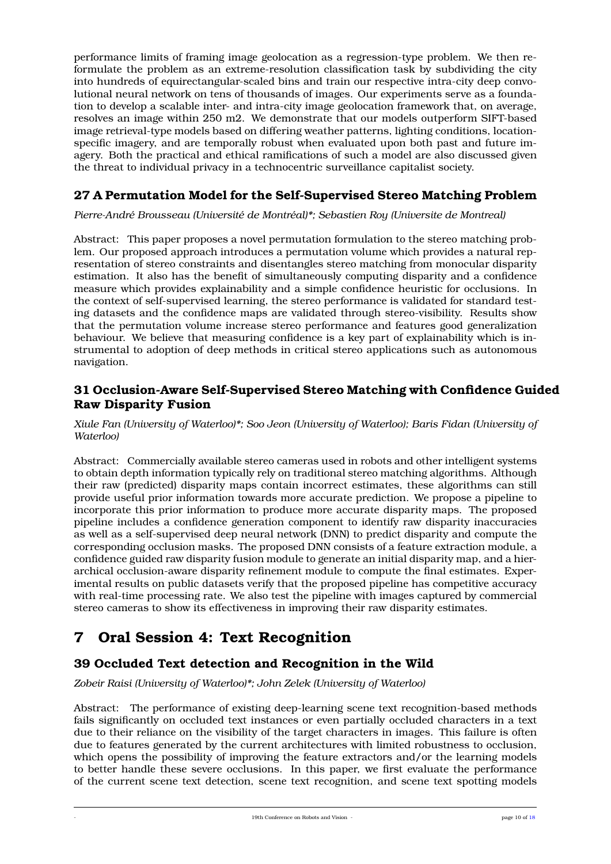performance limits of framing image geolocation as a regression-type problem. We then reformulate the problem as an extreme-resolution classification task by subdividing the city into hundreds of equirectangular-scaled bins and train our respective intra-city deep convolutional neural network on tens of thousands of images. Our experiments serve as a foundation to develop a scalable inter- and intra-city image geolocation framework that, on average, resolves an image within 250 m2. We demonstrate that our models outperform SIFT-based image retrieval-type models based on differing weather patterns, lighting conditions, locationspecific imagery, and are temporally robust when evaluated upon both past and future imagery. Both the practical and ethical ramifications of such a model are also discussed given the threat to individual privacy in a technocentric surveillance capitalist society.

## **27 A Permutation Model for the Self-Supervised Stereo Matching Problem**

*Pierre-André Brousseau (Université de Montréal)\*; Sebastien Roy (Universite de Montreal)*

Abstract: This paper proposes a novel permutation formulation to the stereo matching problem. Our proposed approach introduces a permutation volume which provides a natural representation of stereo constraints and disentangles stereo matching from monocular disparity estimation. It also has the benefit of simultaneously computing disparity and a confidence measure which provides explainability and a simple confidence heuristic for occlusions. In the context of self-supervised learning, the stereo performance is validated for standard testing datasets and the confidence maps are validated through stereo-visibility. Results show that the permutation volume increase stereo performance and features good generalization behaviour. We believe that measuring confidence is a key part of explainability which is instrumental to adoption of deep methods in critical stereo applications such as autonomous navigation.

### **31 Occlusion-Aware Self-Supervised Stereo Matching with Confidence Guided Raw Disparity Fusion**

*Xiule Fan (University of Waterloo)\*; Soo Jeon (University of Waterloo); Baris Fidan (University of Waterloo)*

Abstract: Commercially available stereo cameras used in robots and other intelligent systems to obtain depth information typically rely on traditional stereo matching algorithms. Although their raw (predicted) disparity maps contain incorrect estimates, these algorithms can still provide useful prior information towards more accurate prediction. We propose a pipeline to incorporate this prior information to produce more accurate disparity maps. The proposed pipeline includes a confidence generation component to identify raw disparity inaccuracies as well as a self-supervised deep neural network (DNN) to predict disparity and compute the corresponding occlusion masks. The proposed DNN consists of a feature extraction module, a confidence guided raw disparity fusion module to generate an initial disparity map, and a hierarchical occlusion-aware disparity refinement module to compute the final estimates. Experimental results on public datasets verify that the proposed pipeline has competitive accuracy with real-time processing rate. We also test the pipeline with images captured by commercial stereo cameras to show its effectiveness in improving their raw disparity estimates.

## <span id="page-9-0"></span>**7 Oral Session 4: Text Recognition**

## **39 Occluded Text detection and Recognition in the Wild**

*Zobeir Raisi (University of Waterloo)\*; John Zelek (University of Waterloo)*

Abstract: The performance of existing deep-learning scene text recognition-based methods fails significantly on occluded text instances or even partially occluded characters in a text due to their reliance on the visibility of the target characters in images. This failure is often due to features generated by the current architectures with limited robustness to occlusion, which opens the possibility of improving the feature extractors and/or the learning models to better handle these severe occlusions. In this paper, we first evaluate the performance of the current scene text detection, scene text recognition, and scene text spotting models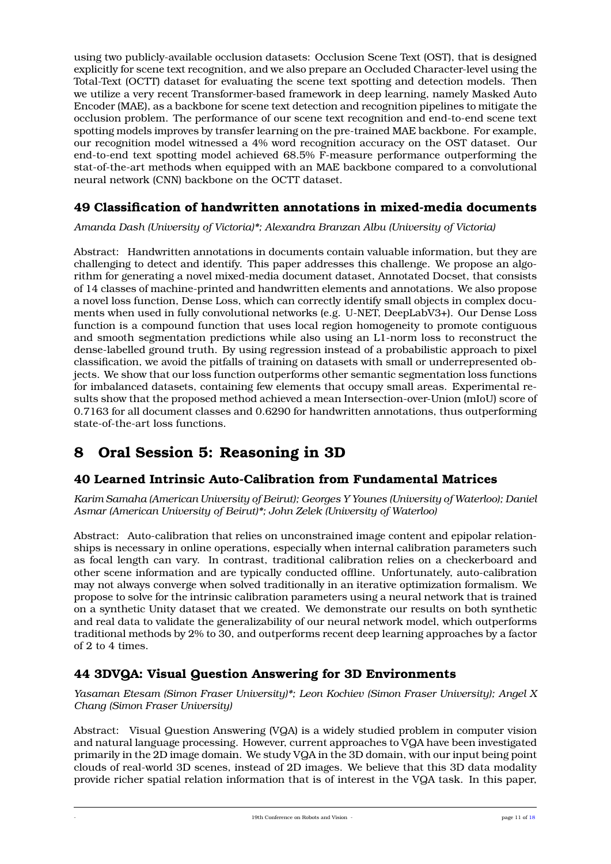using two publicly-available occlusion datasets: Occlusion Scene Text (OST), that is designed explicitly for scene text recognition, and we also prepare an Occluded Character-level using the Total-Text (OCTT) dataset for evaluating the scene text spotting and detection models. Then we utilize a very recent Transformer-based framework in deep learning, namely Masked Auto Encoder (MAE), as a backbone for scene text detection and recognition pipelines to mitigate the occlusion problem. The performance of our scene text recognition and end-to-end scene text spotting models improves by transfer learning on the pre-trained MAE backbone. For example, our recognition model witnessed a 4% word recognition accuracy on the OST dataset. Our end-to-end text spotting model achieved 68.5% F-measure performance outperforming the stat-of-the-art methods when equipped with an MAE backbone compared to a convolutional neural network (CNN) backbone on the OCTT dataset.

## **49 Classification of handwritten annotations in mixed-media documents**

*Amanda Dash (University of Victoria)\*; Alexandra Branzan Albu (University of Victoria)*

Abstract: Handwritten annotations in documents contain valuable information, but they are challenging to detect and identify. This paper addresses this challenge. We propose an algorithm for generating a novel mixed-media document dataset, Annotated Docset, that consists of 14 classes of machine-printed and handwritten elements and annotations. We also propose a novel loss function, Dense Loss, which can correctly identify small objects in complex documents when used in fully convolutional networks (e.g. U-NET, DeepLabV3+). Our Dense Loss function is a compound function that uses local region homogeneity to promote contiguous and smooth segmentation predictions while also using an L1-norm loss to reconstruct the dense-labelled ground truth. By using regression instead of a probabilistic approach to pixel classification, we avoid the pitfalls of training on datasets with small or underrepresented objects. We show that our loss function outperforms other semantic segmentation loss functions for imbalanced datasets, containing few elements that occupy small areas. Experimental results show that the proposed method achieved a mean Intersection-over-Union (mIoU) score of 0.7163 for all document classes and 0.6290 for handwritten annotations, thus outperforming state-of-the-art loss functions.

## <span id="page-10-0"></span>**8 Oral Session 5: Reasoning in 3D**

## **40 Learned Intrinsic Auto-Calibration from Fundamental Matrices**

*Karim Samaha (American University of Beirut); Georges Y Younes (University of Waterloo); Daniel Asmar (American University of Beirut)\*; John Zelek (University of Waterloo)*

Abstract: Auto-calibration that relies on unconstrained image content and epipolar relationships is necessary in online operations, especially when internal calibration parameters such as focal length can vary. In contrast, traditional calibration relies on a checkerboard and other scene information and are typically conducted offline. Unfortunately, auto-calibration may not always converge when solved traditionally in an iterative optimization formalism. We propose to solve for the intrinsic calibration parameters using a neural network that is trained on a synthetic Unity dataset that we created. We demonstrate our results on both synthetic and real data to validate the generalizability of our neural network model, which outperforms traditional methods by 2% to 30, and outperforms recent deep learning approaches by a factor of 2 to 4 times.

## **44 3DVQA: Visual Question Answering for 3D Environments**

*Yasaman Etesam (Simon Fraser University)\*; Leon Kochiev (Simon Fraser University); Angel X Chang (Simon Fraser University)*

Abstract: Visual Question Answering (VQA) is a widely studied problem in computer vision and natural language processing. However, current approaches to VQA have been investigated primarily in the 2D image domain. We study VQA in the 3D domain, with our input being point clouds of real-world 3D scenes, instead of 2D images. We believe that this 3D data modality provide richer spatial relation information that is of interest in the VQA task. In this paper,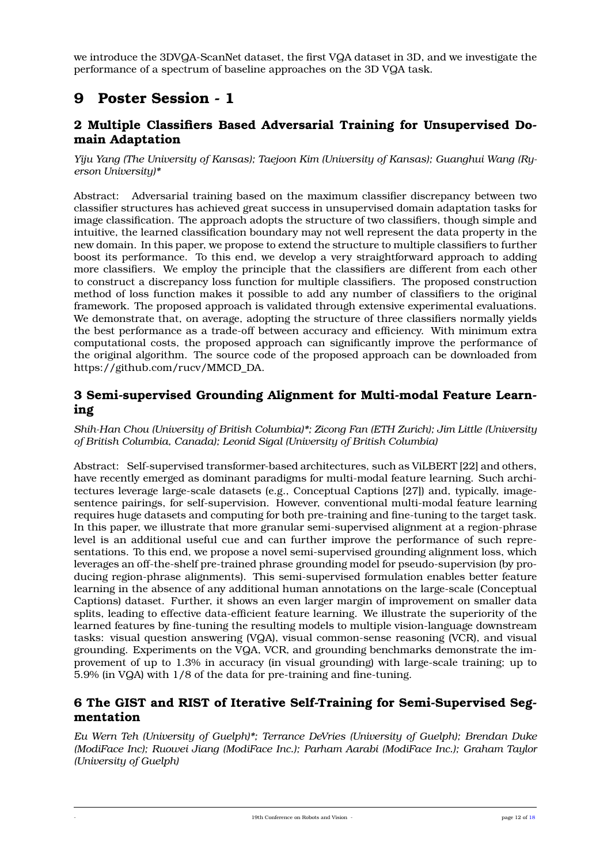we introduce the 3DVQA-ScanNet dataset, the first VQA dataset in 3D, and we investigate the performance of a spectrum of baseline approaches on the 3D VQA task.

## <span id="page-11-0"></span>**9 Poster Session - 1**

## **2 Multiple Classifiers Based Adversarial Training for Unsupervised Domain Adaptation**

*Yiju Yang (The University of Kansas); Taejoon Kim (University of Kansas); Guanghui Wang (Ryerson University)\**

Abstract: Adversarial training based on the maximum classifier discrepancy between two classifier structures has achieved great success in unsupervised domain adaptation tasks for image classification. The approach adopts the structure of two classifiers, though simple and intuitive, the learned classification boundary may not well represent the data property in the new domain. In this paper, we propose to extend the structure to multiple classifiers to further boost its performance. To this end, we develop a very straightforward approach to adding more classifiers. We employ the principle that the classifiers are different from each other to construct a discrepancy loss function for multiple classifiers. The proposed construction method of loss function makes it possible to add any number of classifiers to the original framework. The proposed approach is validated through extensive experimental evaluations. We demonstrate that, on average, adopting the structure of three classifiers normally yields the best performance as a trade-off between accuracy and efficiency. With minimum extra computational costs, the proposed approach can significantly improve the performance of the original algorithm. The source code of the proposed approach can be downloaded from https://github.com/rucv/MMCD\_DA.

### **3 Semi-supervised Grounding Alignment for Multi-modal Feature Learning**

*Shih-Han Chou (University of British Columbia)\*; Zicong Fan (ETH Zurich); Jim Little (University of British Columbia, Canada); Leonid Sigal (University of British Columbia)*

Abstract: Self-supervised transformer-based architectures, such as ViLBERT [22] and others, have recently emerged as dominant paradigms for multi-modal feature learning. Such architectures leverage large-scale datasets (e.g., Conceptual Captions [27]) and, typically, imagesentence pairings, for self-supervision. However, conventional multi-modal feature learning requires huge datasets and computing for both pre-training and fine-tuning to the target task. In this paper, we illustrate that more granular semi-supervised alignment at a region-phrase level is an additional useful cue and can further improve the performance of such representations. To this end, we propose a novel semi-supervised grounding alignment loss, which leverages an off-the-shelf pre-trained phrase grounding model for pseudo-supervision (by producing region-phrase alignments). This semi-supervised formulation enables better feature learning in the absence of any additional human annotations on the large-scale (Conceptual Captions) dataset. Further, it shows an even larger margin of improvement on smaller data splits, leading to effective data-efficient feature learning. We illustrate the superiority of the learned features by fine-tuning the resulting models to multiple vision-language downstream tasks: visual question answering (VQA), visual common-sense reasoning (VCR), and visual grounding. Experiments on the VQA, VCR, and grounding benchmarks demonstrate the improvement of up to 1.3% in accuracy (in visual grounding) with large-scale training; up to 5.9% (in VQA) with 1/8 of the data for pre-training and fine-tuning.

#### **6 The GIST and RIST of Iterative Self-Training for Semi-Supervised Segmentation**

*Eu Wern Teh (University of Guelph)\*; Terrance DeVries (University of Guelph); Brendan Duke (ModiFace Inc); Ruowei Jiang (ModiFace Inc.); Parham Aarabi (ModiFace Inc.); Graham Taylor (University of Guelph)*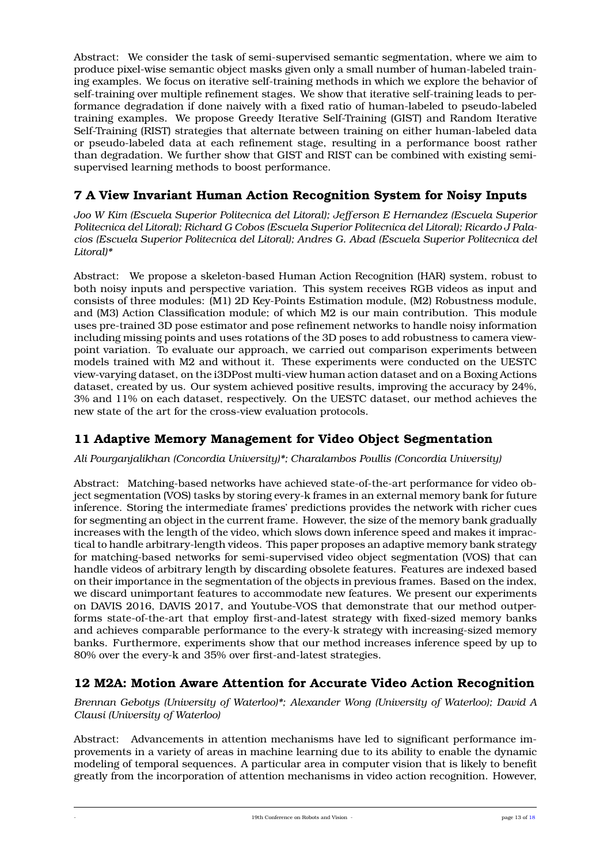Abstract: We consider the task of semi-supervised semantic segmentation, where we aim to produce pixel-wise semantic object masks given only a small number of human-labeled training examples. We focus on iterative self-training methods in which we explore the behavior of self-training over multiple refinement stages. We show that iterative self-training leads to performance degradation if done naively with a fixed ratio of human-labeled to pseudo-labeled training examples. We propose Greedy Iterative Self-Training (GIST) and Random Iterative Self-Training (RIST) strategies that alternate between training on either human-labeled data or pseudo-labeled data at each refinement stage, resulting in a performance boost rather than degradation. We further show that GIST and RIST can be combined with existing semisupervised learning methods to boost performance.

## **7 A View Invariant Human Action Recognition System for Noisy Inputs**

*Joo W Kim (Escuela Superior Politecnica del Litoral); Jefferson E Hernandez (Escuela Superior Politecnica del Litoral); Richard G Cobos (Escuela Superior Politecnica del Litoral); Ricardo J Palacios (Escuela Superior Politecnica del Litoral); Andres G. Abad (Escuela Superior Politecnica del Litoral)\**

Abstract: We propose a skeleton-based Human Action Recognition (HAR) system, robust to both noisy inputs and perspective variation. This system receives RGB videos as input and consists of three modules: (M1) 2D Key-Points Estimation module, (M2) Robustness module, and (M3) Action Classification module; of which M2 is our main contribution. This module uses pre-trained 3D pose estimator and pose refinement networks to handle noisy information including missing points and uses rotations of the 3D poses to add robustness to camera viewpoint variation. To evaluate our approach, we carried out comparison experiments between models trained with M2 and without it. These experiments were conducted on the UESTC view-varying dataset, on the i3DPost multi-view human action dataset and on a Boxing Actions dataset, created by us. Our system achieved positive results, improving the accuracy by 24%, 3% and 11% on each dataset, respectively. On the UESTC dataset, our method achieves the new state of the art for the cross-view evaluation protocols.

## **11 Adaptive Memory Management for Video Object Segmentation**

*Ali Pourganjalikhan (Concordia University)\*; Charalambos Poullis (Concordia University)*

Abstract: Matching-based networks have achieved state-of-the-art performance for video object segmentation (VOS) tasks by storing every-k frames in an external memory bank for future inference. Storing the intermediate frames' predictions provides the network with richer cues for segmenting an object in the current frame. However, the size of the memory bank gradually increases with the length of the video, which slows down inference speed and makes it impractical to handle arbitrary-length videos. This paper proposes an adaptive memory bank strategy for matching-based networks for semi-supervised video object segmentation (VOS) that can handle videos of arbitrary length by discarding obsolete features. Features are indexed based on their importance in the segmentation of the objects in previous frames. Based on the index, we discard unimportant features to accommodate new features. We present our experiments on DAVIS 2016, DAVIS 2017, and Youtube-VOS that demonstrate that our method outperforms state-of-the-art that employ first-and-latest strategy with fixed-sized memory banks and achieves comparable performance to the every-k strategy with increasing-sized memory banks. Furthermore, experiments show that our method increases inference speed by up to 80% over the every-k and 35% over first-and-latest strategies.

## **12 M2A: Motion Aware Attention for Accurate Video Action Recognition**

*Brennan Gebotys (University of Waterloo)\*; Alexander Wong (University of Waterloo); David A Clausi (University of Waterloo)*

Abstract: Advancements in attention mechanisms have led to significant performance improvements in a variety of areas in machine learning due to its ability to enable the dynamic modeling of temporal sequences. A particular area in computer vision that is likely to benefit greatly from the incorporation of attention mechanisms in video action recognition. However,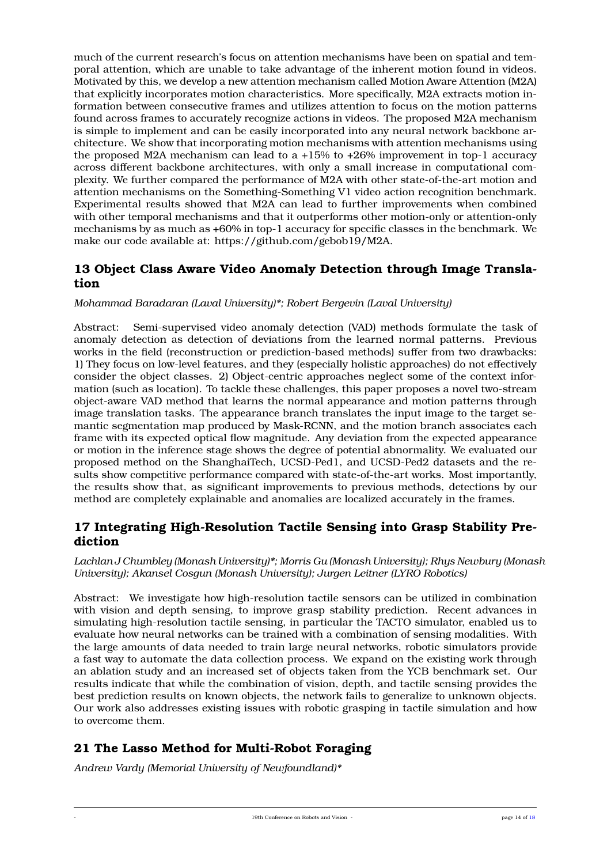much of the current research's focus on attention mechanisms have been on spatial and temporal attention, which are unable to take advantage of the inherent motion found in videos. Motivated by this, we develop a new attention mechanism called Motion Aware Attention (M2A) that explicitly incorporates motion characteristics. More specifically, M2A extracts motion information between consecutive frames and utilizes attention to focus on the motion patterns found across frames to accurately recognize actions in videos. The proposed M2A mechanism is simple to implement and can be easily incorporated into any neural network backbone architecture. We show that incorporating motion mechanisms with attention mechanisms using the proposed M2A mechanism can lead to a +15% to +26% improvement in top-1 accuracy across different backbone architectures, with only a small increase in computational complexity. We further compared the performance of M2A with other state-of-the-art motion and attention mechanisms on the Something-Something V1 video action recognition benchmark. Experimental results showed that M2A can lead to further improvements when combined with other temporal mechanisms and that it outperforms other motion-only or attention-only mechanisms by as much as +60% in top-1 accuracy for specific classes in the benchmark. We make our code available at: https://github.com/gebob19/M2A.

## **13 Object Class Aware Video Anomaly Detection through Image Translation**

*Mohammad Baradaran (Laval University)\*; Robert Bergevin (Laval University)*

Abstract: Semi-supervised video anomaly detection (VAD) methods formulate the task of anomaly detection as detection of deviations from the learned normal patterns. Previous works in the field (reconstruction or prediction-based methods) suffer from two drawbacks: 1) They focus on low-level features, and they (especially holistic approaches) do not effectively consider the object classes. 2) Object-centric approaches neglect some of the context information (such as location). To tackle these challenges, this paper proposes a novel two-stream object-aware VAD method that learns the normal appearance and motion patterns through image translation tasks. The appearance branch translates the input image to the target semantic segmentation map produced by Mask-RCNN, and the motion branch associates each frame with its expected optical flow magnitude. Any deviation from the expected appearance or motion in the inference stage shows the degree of potential abnormality. We evaluated our proposed method on the ShanghaiTech, UCSD-Ped1, and UCSD-Ped2 datasets and the results show competitive performance compared with state-of-the-art works. Most importantly, the results show that, as significant improvements to previous methods, detections by our method are completely explainable and anomalies are localized accurately in the frames.

### **17 Integrating High-Resolution Tactile Sensing into Grasp Stability Prediction**

*Lachlan J Chumbley (Monash University)\*; Morris Gu (Monash University); Rhys Newbury (Monash University); Akansel Cosgun (Monash University); Jurgen Leitner (LYRO Robotics)*

Abstract: We investigate how high-resolution tactile sensors can be utilized in combination with vision and depth sensing, to improve grasp stability prediction. Recent advances in simulating high-resolution tactile sensing, in particular the TACTO simulator, enabled us to evaluate how neural networks can be trained with a combination of sensing modalities. With the large amounts of data needed to train large neural networks, robotic simulators provide a fast way to automate the data collection process. We expand on the existing work through an ablation study and an increased set of objects taken from the YCB benchmark set. Our results indicate that while the combination of vision, depth, and tactile sensing provides the best prediction results on known objects, the network fails to generalize to unknown objects. Our work also addresses existing issues with robotic grasping in tactile simulation and how to overcome them.

## **21 The Lasso Method for Multi-Robot Foraging**

*Andrew Vardy (Memorial University of Newfoundland)\**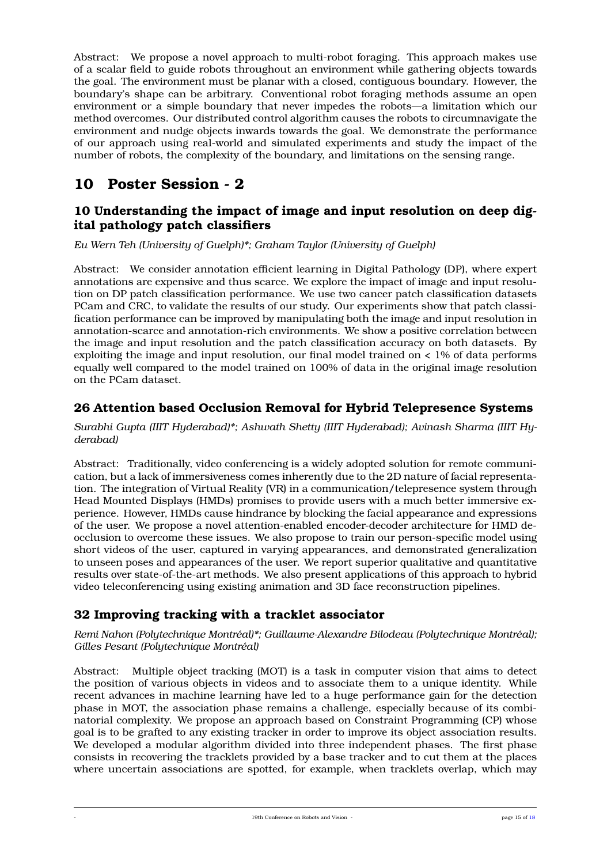Abstract: We propose a novel approach to multi-robot foraging. This approach makes use of a scalar field to guide robots throughout an environment while gathering objects towards the goal. The environment must be planar with a closed, contiguous boundary. However, the boundary's shape can be arbitrary. Conventional robot foraging methods assume an open environment or a simple boundary that never impedes the robots—a limitation which our method overcomes. Our distributed control algorithm causes the robots to circumnavigate the environment and nudge objects inwards towards the goal. We demonstrate the performance of our approach using real-world and simulated experiments and study the impact of the number of robots, the complexity of the boundary, and limitations on the sensing range.

## <span id="page-14-0"></span>**10 Poster Session - 2**

## **10 Understanding the impact of image and input resolution on deep digital pathology patch classifiers**

*Eu Wern Teh (University of Guelph)\*; Graham Taylor (University of Guelph)*

Abstract: We consider annotation efficient learning in Digital Pathology (DP), where expert annotations are expensive and thus scarce. We explore the impact of image and input resolution on DP patch classification performance. We use two cancer patch classification datasets PCam and CRC, to validate the results of our study. Our experiments show that patch classification performance can be improved by manipulating both the image and input resolution in annotation-scarce and annotation-rich environments. We show a positive correlation between the image and input resolution and the patch classification accuracy on both datasets. By exploiting the image and input resolution, our final model trained on < 1% of data performs equally well compared to the model trained on 100% of data in the original image resolution on the PCam dataset.

## **26 Attention based Occlusion Removal for Hybrid Telepresence Systems**

*Surabhi Gupta (IIIT Hyderabad)\*; Ashwath Shetty (IIIT Hyderabad); Avinash Sharma (IIIT Hyderabad)*

Abstract: Traditionally, video conferencing is a widely adopted solution for remote communication, but a lack of immersiveness comes inherently due to the 2D nature of facial representation. The integration of Virtual Reality (VR) in a communication/telepresence system through Head Mounted Displays (HMDs) promises to provide users with a much better immersive experience. However, HMDs cause hindrance by blocking the facial appearance and expressions of the user. We propose a novel attention-enabled encoder-decoder architecture for HMD deocclusion to overcome these issues. We also propose to train our person-specific model using short videos of the user, captured in varying appearances, and demonstrated generalization to unseen poses and appearances of the user. We report superior qualitative and quantitative results over state-of-the-art methods. We also present applications of this approach to hybrid video teleconferencing using existing animation and 3D face reconstruction pipelines.

## **32 Improving tracking with a tracklet associator**

*Remi Nahon (Polytechnique Montréal)\*; Guillaume-Alexandre Bilodeau (Polytechnique Montréal); Gilles Pesant (Polytechnique Montréal)*

Abstract: Multiple object tracking (MOT) is a task in computer vision that aims to detect the position of various objects in videos and to associate them to a unique identity. While recent advances in machine learning have led to a huge performance gain for the detection phase in MOT, the association phase remains a challenge, especially because of its combinatorial complexity. We propose an approach based on Constraint Programming (CP) whose goal is to be grafted to any existing tracker in order to improve its object association results. We developed a modular algorithm divided into three independent phases. The first phase consists in recovering the tracklets provided by a base tracker and to cut them at the places where uncertain associations are spotted, for example, when tracklets overlap, which may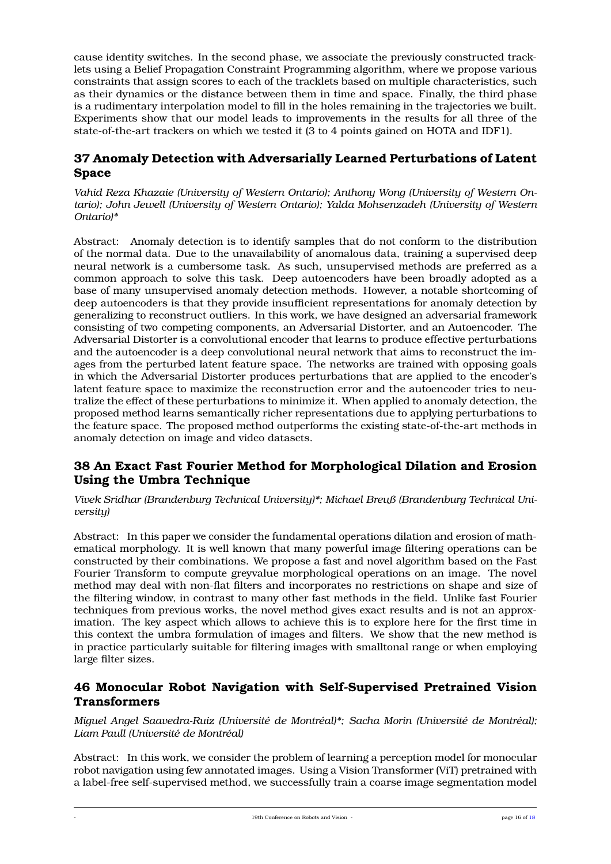cause identity switches. In the second phase, we associate the previously constructed tracklets using a Belief Propagation Constraint Programming algorithm, where we propose various constraints that assign scores to each of the tracklets based on multiple characteristics, such as their dynamics or the distance between them in time and space. Finally, the third phase is a rudimentary interpolation model to fill in the holes remaining in the trajectories we built. Experiments show that our model leads to improvements in the results for all three of the state-of-the-art trackers on which we tested it (3 to 4 points gained on HOTA and IDF1).

### **37 Anomaly Detection with Adversarially Learned Perturbations of Latent Space**

*Vahid Reza Khazaie (University of Western Ontario); Anthony Wong (University of Western Ontario); John Jewell (University of Western Ontario); Yalda Mohsenzadeh (University of Western Ontario)\**

Abstract: Anomaly detection is to identify samples that do not conform to the distribution of the normal data. Due to the unavailability of anomalous data, training a supervised deep neural network is a cumbersome task. As such, unsupervised methods are preferred as a common approach to solve this task. Deep autoencoders have been broadly adopted as a base of many unsupervised anomaly detection methods. However, a notable shortcoming of deep autoencoders is that they provide insufficient representations for anomaly detection by generalizing to reconstruct outliers. In this work, we have designed an adversarial framework consisting of two competing components, an Adversarial Distorter, and an Autoencoder. The Adversarial Distorter is a convolutional encoder that learns to produce effective perturbations and the autoencoder is a deep convolutional neural network that aims to reconstruct the images from the perturbed latent feature space. The networks are trained with opposing goals in which the Adversarial Distorter produces perturbations that are applied to the encoder's latent feature space to maximize the reconstruction error and the autoencoder tries to neutralize the effect of these perturbations to minimize it. When applied to anomaly detection, the proposed method learns semantically richer representations due to applying perturbations to the feature space. The proposed method outperforms the existing state-of-the-art methods in anomaly detection on image and video datasets.

## **38 An Exact Fast Fourier Method for Morphological Dilation and Erosion Using the Umbra Technique**

*Vivek Sridhar (Brandenburg Technical University)\*; Michael Breuß (Brandenburg Technical University)*

Abstract: In this paper we consider the fundamental operations dilation and erosion of mathematical morphology. It is well known that many powerful image filtering operations can be constructed by their combinations. We propose a fast and novel algorithm based on the Fast Fourier Transform to compute greyvalue morphological operations on an image. The novel method may deal with non-flat filters and incorporates no restrictions on shape and size of the filtering window, in contrast to many other fast methods in the field. Unlike fast Fourier techniques from previous works, the novel method gives exact results and is not an approximation. The key aspect which allows to achieve this is to explore here for the first time in this context the umbra formulation of images and filters. We show that the new method is in practice particularly suitable for filtering images with smalltonal range or when employing large filter sizes.

### **46 Monocular Robot Navigation with Self-Supervised Pretrained Vision Transformers**

*Miguel Angel Saavedra-Ruiz (Université de Montréal)\*; Sacha Morin (Université de Montréal); Liam Paull (Université de Montréal)*

Abstract: In this work, we consider the problem of learning a perception model for monocular robot navigation using few annotated images. Using a Vision Transformer (ViT) pretrained with a label-free self-supervised method, we successfully train a coarse image segmentation model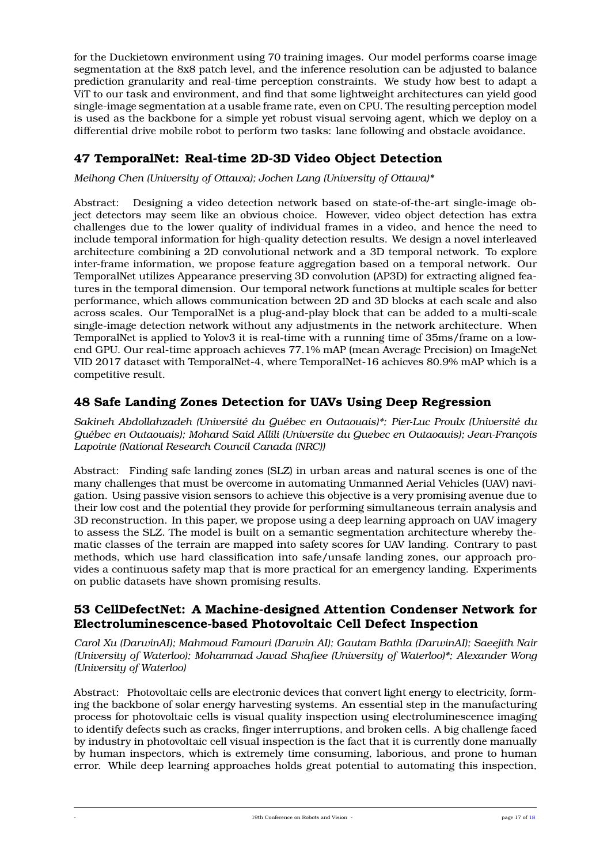for the Duckietown environment using 70 training images. Our model performs coarse image segmentation at the 8x8 patch level, and the inference resolution can be adjusted to balance prediction granularity and real-time perception constraints. We study how best to adapt a ViT to our task and environment, and find that some lightweight architectures can yield good single-image segmentation at a usable frame rate, even on CPU. The resulting perception model is used as the backbone for a simple yet robust visual servoing agent, which we deploy on a differential drive mobile robot to perform two tasks: lane following and obstacle avoidance.

## **47 TemporalNet: Real-time 2D-3D Video Object Detection**

*Meihong Chen (University of Ottawa); Jochen Lang (University of Ottawa)\**

Abstract: Designing a video detection network based on state-of-the-art single-image object detectors may seem like an obvious choice. However, video object detection has extra challenges due to the lower quality of individual frames in a video, and hence the need to include temporal information for high-quality detection results. We design a novel interleaved architecture combining a 2D convolutional network and a 3D temporal network. To explore inter-frame information, we propose feature aggregation based on a temporal network. Our TemporalNet utilizes Appearance preserving 3D convolution (AP3D) for extracting aligned features in the temporal dimension. Our temporal network functions at multiple scales for better performance, which allows communication between 2D and 3D blocks at each scale and also across scales. Our TemporalNet is a plug-and-play block that can be added to a multi-scale single-image detection network without any adjustments in the network architecture. When TemporalNet is applied to Yolov3 it is real-time with a running time of 35ms/frame on a lowend GPU. Our real-time approach achieves 77.1% mAP (mean Average Precision) on ImageNet VID 2017 dataset with TemporalNet-4, where TemporalNet-16 achieves 80.9% mAP which is a competitive result.

## **48 Safe Landing Zones Detection for UAVs Using Deep Regression**

*Sakineh Abdollahzadeh (Université du Québec en Outaouais)\*; Pier-Luc Proulx (Université du Québec en Outaouais); Mohand Said Allili (Universite du Quebec en Outaoauis); Jean-François Lapointe (National Research Council Canada (NRC))*

Abstract: Finding safe landing zones (SLZ) in urban areas and natural scenes is one of the many challenges that must be overcome in automating Unmanned Aerial Vehicles (UAV) navigation. Using passive vision sensors to achieve this objective is a very promising avenue due to their low cost and the potential they provide for performing simultaneous terrain analysis and 3D reconstruction. In this paper, we propose using a deep learning approach on UAV imagery to assess the SLZ. The model is built on a semantic segmentation architecture whereby thematic classes of the terrain are mapped into safety scores for UAV landing. Contrary to past methods, which use hard classification into safe/unsafe landing zones, our approach provides a continuous safety map that is more practical for an emergency landing. Experiments on public datasets have shown promising results.

### **53 CellDefectNet: A Machine-designed Attention Condenser Network for Electroluminescence-based Photovoltaic Cell Defect Inspection**

*Carol Xu (DarwinAI); Mahmoud Famouri (Darwin AI); Gautam Bathla (DarwinAI); Saeejith Nair (University of Waterloo); Mohammad Javad Shafiee (University of Waterloo)\*; Alexander Wong (University of Waterloo)*

Abstract: Photovoltaic cells are electronic devices that convert light energy to electricity, forming the backbone of solar energy harvesting systems. An essential step in the manufacturing process for photovoltaic cells is visual quality inspection using electroluminescence imaging to identify defects such as cracks, finger interruptions, and broken cells. A big challenge faced by industry in photovoltaic cell visual inspection is the fact that it is currently done manually by human inspectors, which is extremely time consuming, laborious, and prone to human error. While deep learning approaches holds great potential to automating this inspection,